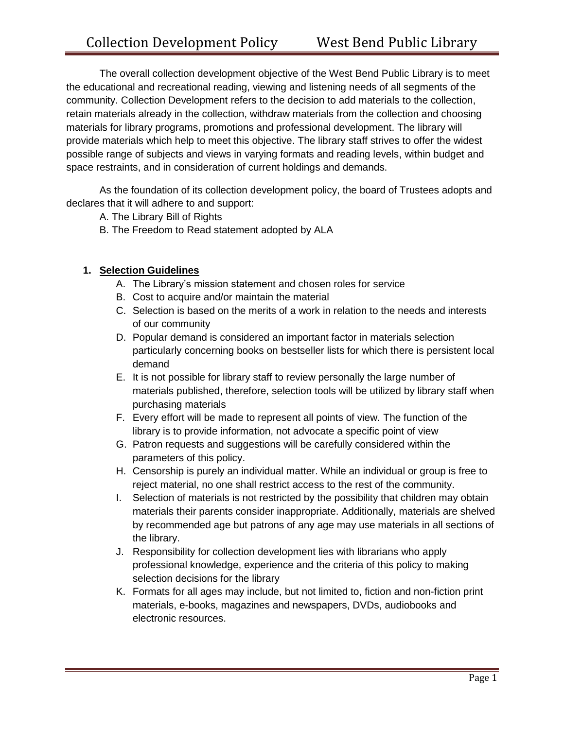The overall collection development objective of the West Bend Public Library is to meet the educational and recreational reading, viewing and listening needs of all segments of the community. Collection Development refers to the decision to add materials to the collection, retain materials already in the collection, withdraw materials from the collection and choosing materials for library programs, promotions and professional development. The library will provide materials which help to meet this objective. The library staff strives to offer the widest possible range of subjects and views in varying formats and reading levels, within budget and space restraints, and in consideration of current holdings and demands.

As the foundation of its collection development policy, the board of Trustees adopts and declares that it will adhere to and support:

A. The Library Bill of Rights

B. The Freedom to Read statement adopted by ALA

## **1. Selection Guidelines**

- A. The Library's mission statement and chosen roles for service
- B. Cost to acquire and/or maintain the material
- C. Selection is based on the merits of a work in relation to the needs and interests of our community
- D. Popular demand is considered an important factor in materials selection particularly concerning books on bestseller lists for which there is persistent local demand
- E. It is not possible for library staff to review personally the large number of materials published, therefore, selection tools will be utilized by library staff when purchasing materials
- F. Every effort will be made to represent all points of view. The function of the library is to provide information, not advocate a specific point of view
- G. Patron requests and suggestions will be carefully considered within the parameters of this policy.
- H. Censorship is purely an individual matter. While an individual or group is free to reject material, no one shall restrict access to the rest of the community.
- I. Selection of materials is not restricted by the possibility that children may obtain materials their parents consider inappropriate. Additionally, materials are shelved by recommended age but patrons of any age may use materials in all sections of the library.
- J. Responsibility for collection development lies with librarians who apply professional knowledge, experience and the criteria of this policy to making selection decisions for the library
- K. Formats for all ages may include, but not limited to, fiction and non-fiction print materials, e-books, magazines and newspapers, DVDs, audiobooks and electronic resources.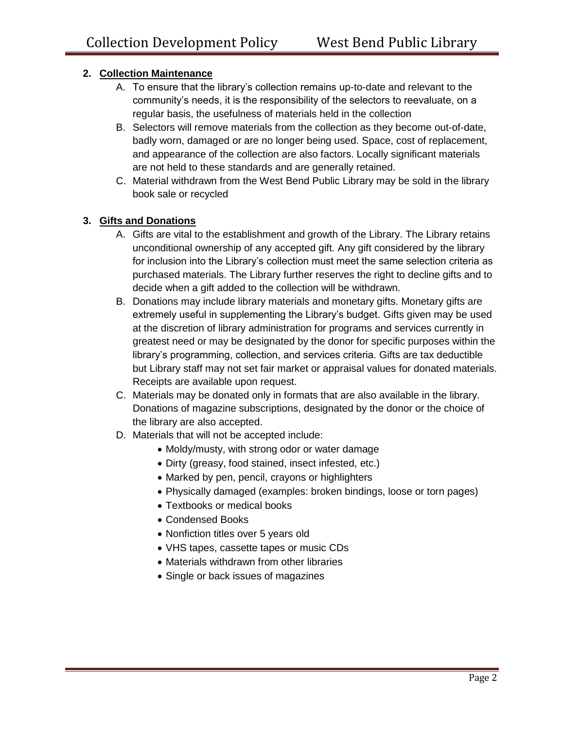## **2. Collection Maintenance**

- A. To ensure that the library's collection remains up-to-date and relevant to the community's needs, it is the responsibility of the selectors to reevaluate, on a regular basis, the usefulness of materials held in the collection
- B. Selectors will remove materials from the collection as they become out-of-date, badly worn, damaged or are no longer being used. Space, cost of replacement, and appearance of the collection are also factors. Locally significant materials are not held to these standards and are generally retained.
- C. Material withdrawn from the West Bend Public Library may be sold in the library book sale or recycled

## **3. Gifts and Donations**

- A. Gifts are vital to the establishment and growth of the Library. The Library retains unconditional ownership of any accepted gift. Any gift considered by the library for inclusion into the Library's collection must meet the same selection criteria as purchased materials. The Library further reserves the right to decline gifts and to decide when a gift added to the collection will be withdrawn.
- B. Donations may include library materials and monetary gifts. Monetary gifts are extremely useful in supplementing the Library's budget. Gifts given may be used at the discretion of library administration for programs and services currently in greatest need or may be designated by the donor for specific purposes within the library's programming, collection, and services criteria. Gifts are tax deductible but Library staff may not set fair market or appraisal values for donated materials. Receipts are available upon request.
- C. Materials may be donated only in formats that are also available in the library. Donations of magazine subscriptions, designated by the donor or the choice of the library are also accepted.
- D. Materials that will not be accepted include:
	- Moldy/musty, with strong odor or water damage
	- Dirty (greasy, food stained, insect infested, etc.)
	- Marked by pen, pencil, crayons or highlighters
	- Physically damaged (examples: broken bindings, loose or torn pages)
	- Textbooks or medical books
	- Condensed Books
	- Nonfiction titles over 5 years old
	- VHS tapes, cassette tapes or music CDs
	- Materials withdrawn from other libraries
	- Single or back issues of magazines